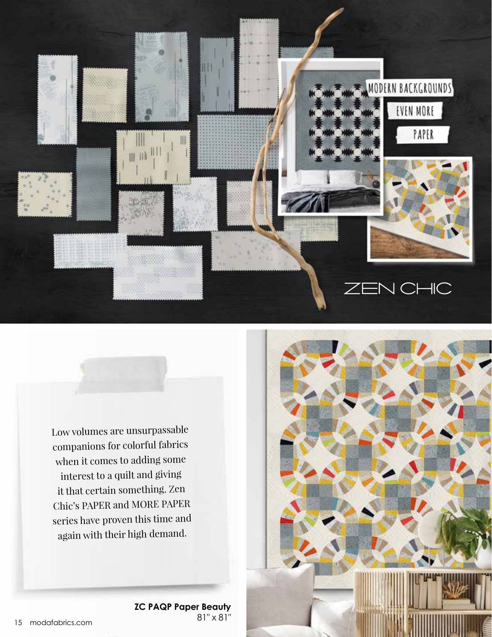

Low volumes are unsurpassable companions for colorful fabrics when it comes to adding some interest to a quilt and giving it that certain something. Zen Chic's PAPER and MORE PAPER series have proven this time and again with their high demand.

**ZC PAQP Paper Beauty**

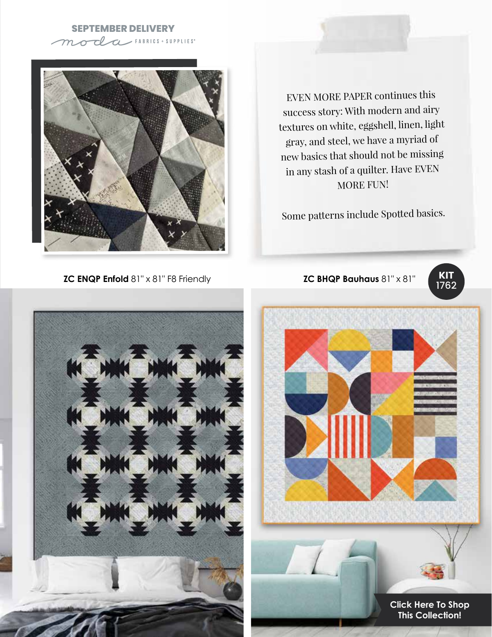## **SEPTEMBER DELIVERY**



EVEN MORE PAPER continues this success story: With modern and airy textures on white, eggshell, linen, light gray, and steel, we have a myriad of new basics that should not be missing in any stash of a quilter. Have EVEN MORE FUN!

Some patterns include Spotted basics.

**ZC ENQP Enfold** 81" x 81" F8 Friendly **ZC BHQP Bauhaus** 81" x 81"







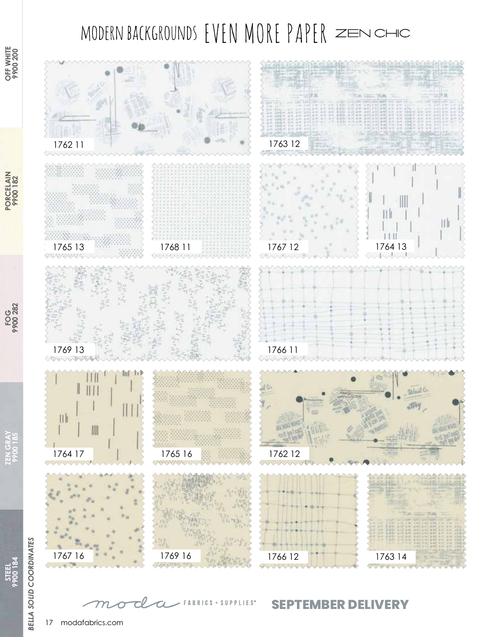## MODERN BACKGROUNDS EVEN MORE PAPER ZENCHIC



**PORCELAIN 9900 182**

**PORCELAIN**<br>9900 182

> **ZEN GRAY 9900 185**

ZEN GRATES